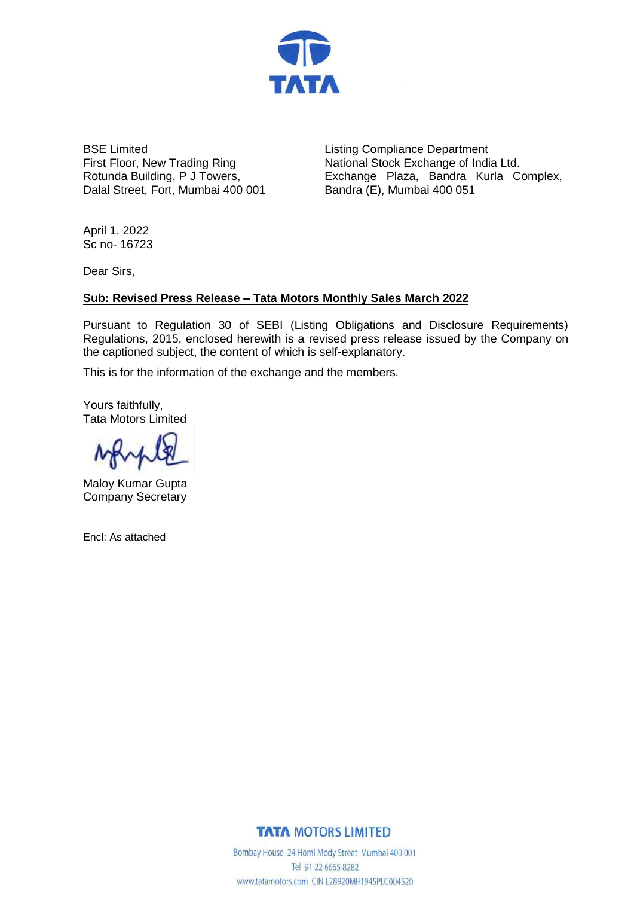

BSE Limited First Floor, New Trading Ring Rotunda Building, P J Towers, Dalal Street, Fort, Mumbai 400 001

Listing Compliance Department National Stock Exchange of India Ltd. Exchange Plaza, Bandra Kurla Complex, Bandra (E), Mumbai 400 051

April 1, 2022 Sc no- 16723

Dear Sirs,

# **Sub: Revised Press Release – Tata Motors Monthly Sales March 2022**

Pursuant to Regulation 30 of SEBI (Listing Obligations and Disclosure Requirements) Regulations, 2015, enclosed herewith is a revised press release issued by the Company on the captioned subject, the content of which is self-explanatory.

This is for the information of the exchange and the members.

Yours faithfully, Tata Motors Limited

Maloy Kumar Gupta Company Secretary

Encl: As attached

**TATA MOTORS LIMITED** 

Bombay House 24 Homi Mody Street Mumbai 400 001 Tel 91 22 6665 8282 www.tatamotors.com CIN L28920MH1945PLC004520